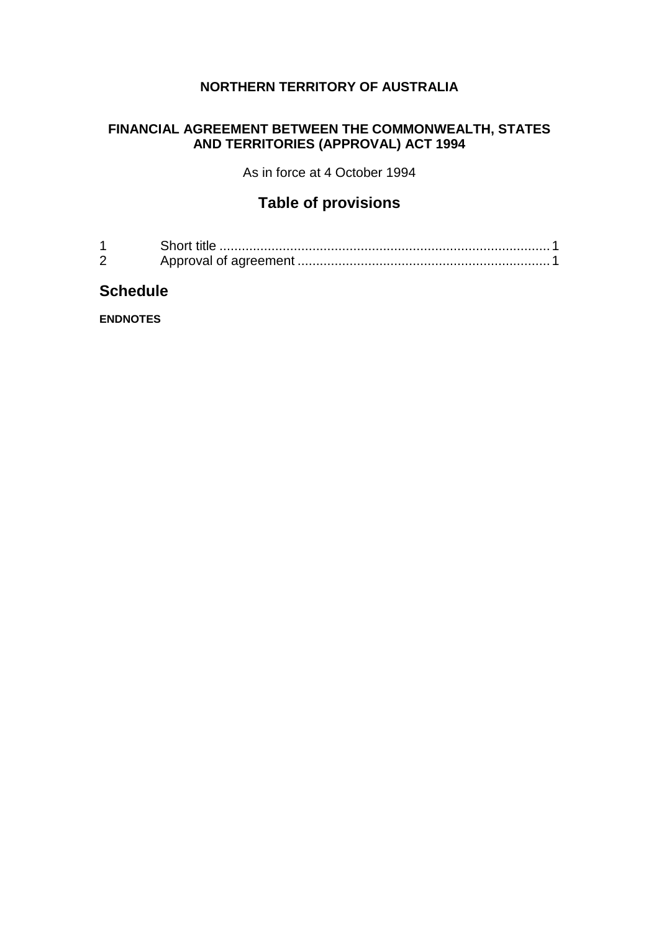## **NORTHERN TERRITORY OF AUSTRALIA**

### **FINANCIAL AGREEMENT BETWEEN THE COMMONWEALTH, STATES AND TERRITORIES (APPROVAL) ACT 1994**

As in force at 4 October 1994

# **Table of provisions**

| Short title |
|-------------|
|             |

# **Schedule**

**ENDNOTES**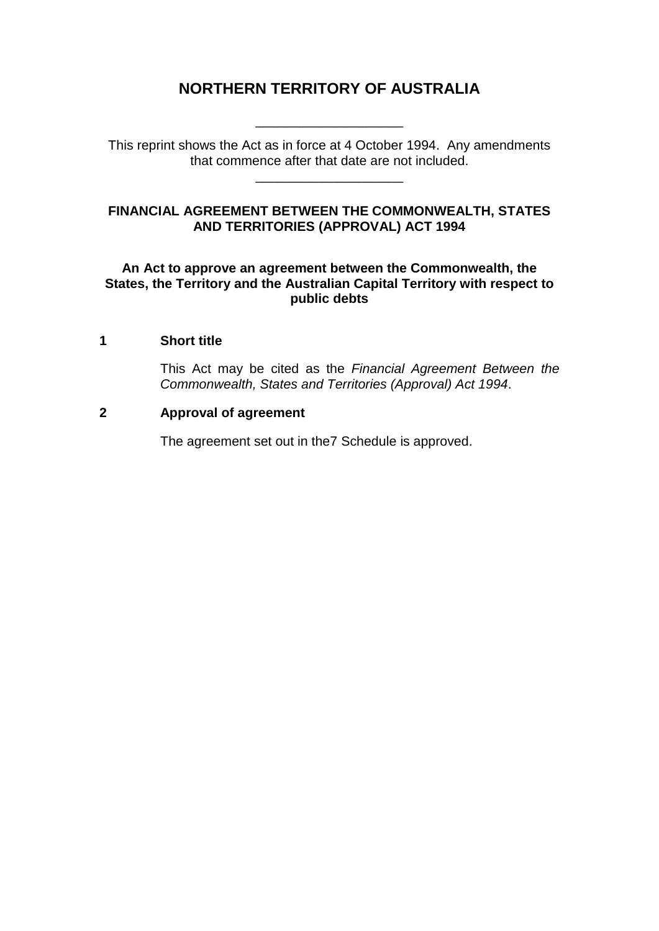# **NORTHERN TERRITORY OF AUSTRALIA**

This reprint shows the Act as in force at 4 October 1994. Any amendments that commence after that date are not included.

\_\_\_\_\_\_\_\_\_\_\_\_\_\_\_\_\_\_\_\_

\_\_\_\_\_\_\_\_\_\_\_\_\_\_\_\_\_\_\_\_

#### **FINANCIAL AGREEMENT BETWEEN THE COMMONWEALTH, STATES AND TERRITORIES (APPROVAL) ACT 1994**

#### **An Act to approve an agreement between the Commonwealth, the States, the Territory and the Australian Capital Territory with respect to public debts**

#### **1 Short title**

This Act may be cited as the *Financial Agreement Between the Commonwealth, States and Territories (Approval) Act 1994*.

#### **2 Approval of agreement**

The agreement set out in the7 Schedule is approved.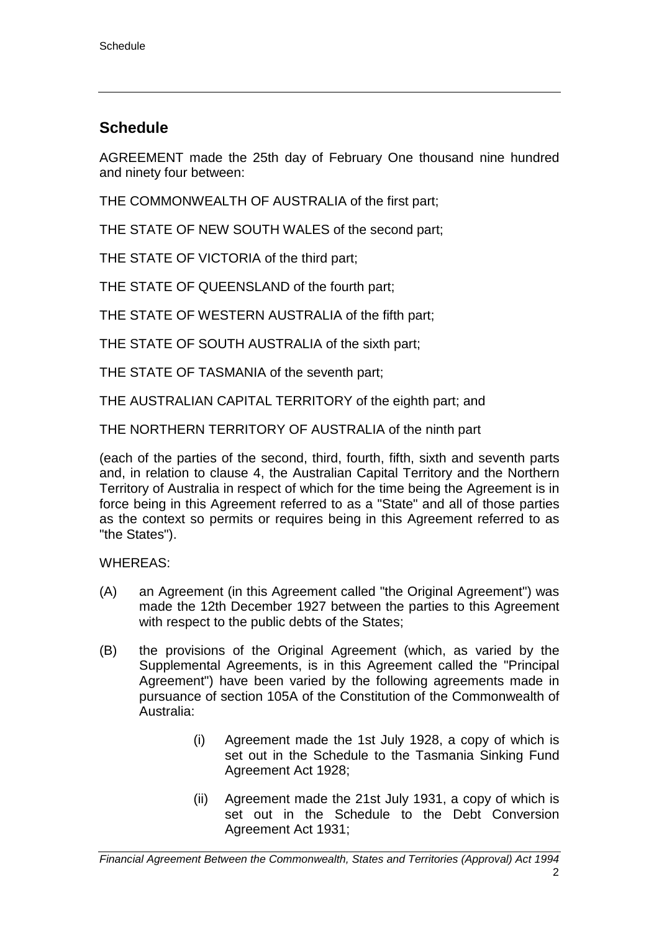# **Schedule**

AGREEMENT made the 25th day of February One thousand nine hundred and ninety four between:

THE COMMONWEALTH OF AUSTRALIA of the first part;

THE STATE OF NEW SOUTH WALES of the second part;

THE STATE OF VICTORIA of the third part;

THE STATE OF QUEENSLAND of the fourth part;

THE STATE OF WESTERN AUSTRALIA of the fifth part;

THE STATE OF SOUTH AUSTRALIA of the sixth part;

THE STATE OF TASMANIA of the seventh part;

THE AUSTRALIAN CAPITAL TERRITORY of the eighth part; and

THE NORTHERN TERRITORY OF AUSTRALIA of the ninth part

(each of the parties of the second, third, fourth, fifth, sixth and seventh parts and, in relation to clause 4, the Australian Capital Territory and the Northern Territory of Australia in respect of which for the time being the Agreement is in force being in this Agreement referred to as a "State" and all of those parties as the context so permits or requires being in this Agreement referred to as "the States").

WHEREAS:

- (A) an Agreement (in this Agreement called "the Original Agreement") was made the 12th December 1927 between the parties to this Agreement with respect to the public debts of the States;
- (B) the provisions of the Original Agreement (which, as varied by the Supplemental Agreements, is in this Agreement called the "Principal Agreement") have been varied by the following agreements made in pursuance of section 105A of the Constitution of the Commonwealth of Australia:
	- (i) Agreement made the 1st July 1928, a copy of which is set out in the Schedule to the Tasmania Sinking Fund Agreement Act 1928;
	- (ii) Agreement made the 21st July 1931, a copy of which is set out in the Schedule to the Debt Conversion Agreement Act 1931;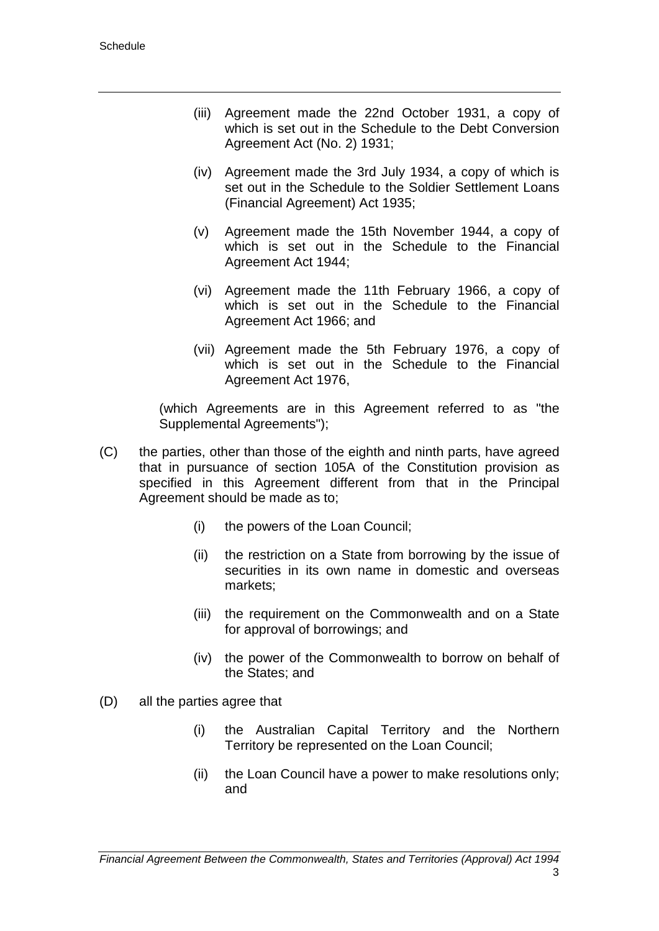- (iii) Agreement made the 22nd October 1931, a copy of which is set out in the Schedule to the Debt Conversion Agreement Act (No. 2) 1931;
- (iv) Agreement made the 3rd July 1934, a copy of which is set out in the Schedule to the Soldier Settlement Loans (Financial Agreement) Act 1935;
- (v) Agreement made the 15th November 1944, a copy of which is set out in the Schedule to the Financial Agreement Act 1944;
- (vi) Agreement made the 11th February 1966, a copy of which is set out in the Schedule to the Financial Agreement Act 1966; and
- (vii) Agreement made the 5th February 1976, a copy of which is set out in the Schedule to the Financial Agreement Act 1976,

(which Agreements are in this Agreement referred to as "the Supplemental Agreements");

- (C) the parties, other than those of the eighth and ninth parts, have agreed that in pursuance of section 105A of the Constitution provision as specified in this Agreement different from that in the Principal Agreement should be made as to;
	- (i) the powers of the Loan Council;
	- (ii) the restriction on a State from borrowing by the issue of securities in its own name in domestic and overseas markets;
	- (iii) the requirement on the Commonwealth and on a State for approval of borrowings; and
	- (iv) the power of the Commonwealth to borrow on behalf of the States; and
- (D) all the parties agree that
	- (i) the Australian Capital Territory and the Northern Territory be represented on the Loan Council;
	- (ii) the Loan Council have a power to make resolutions only; and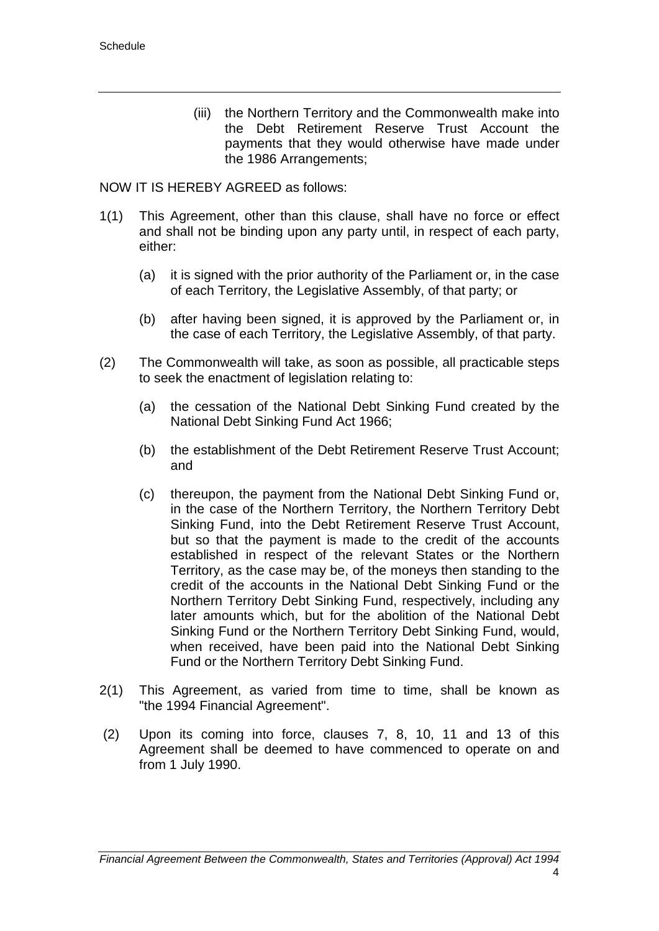(iii) the Northern Territory and the Commonwealth make into the Debt Retirement Reserve Trust Account the payments that they would otherwise have made under the 1986 Arrangements;

NOW IT IS HEREBY AGREED as follows:

- 1(1) This Agreement, other than this clause, shall have no force or effect and shall not be binding upon any party until, in respect of each party, either:
	- (a) it is signed with the prior authority of the Parliament or, in the case of each Territory, the Legislative Assembly, of that party; or
	- (b) after having been signed, it is approved by the Parliament or, in the case of each Territory, the Legislative Assembly, of that party.
- (2) The Commonwealth will take, as soon as possible, all practicable steps to seek the enactment of legislation relating to:
	- (a) the cessation of the National Debt Sinking Fund created by the National Debt Sinking Fund Act 1966;
	- (b) the establishment of the Debt Retirement Reserve Trust Account; and
	- (c) thereupon, the payment from the National Debt Sinking Fund or, in the case of the Northern Territory, the Northern Territory Debt Sinking Fund, into the Debt Retirement Reserve Trust Account, but so that the payment is made to the credit of the accounts established in respect of the relevant States or the Northern Territory, as the case may be, of the moneys then standing to the credit of the accounts in the National Debt Sinking Fund or the Northern Territory Debt Sinking Fund, respectively, including any later amounts which, but for the abolition of the National Debt Sinking Fund or the Northern Territory Debt Sinking Fund, would, when received, have been paid into the National Debt Sinking Fund or the Northern Territory Debt Sinking Fund.
- 2(1) This Agreement, as varied from time to time, shall be known as "the 1994 Financial Agreement".
- (2) Upon its coming into force, clauses 7, 8, 10, 11 and 13 of this Agreement shall be deemed to have commenced to operate on and from 1 July 1990.

*Financial Agreement Between the Commonwealth, States and Territories (Approval) Act 1994*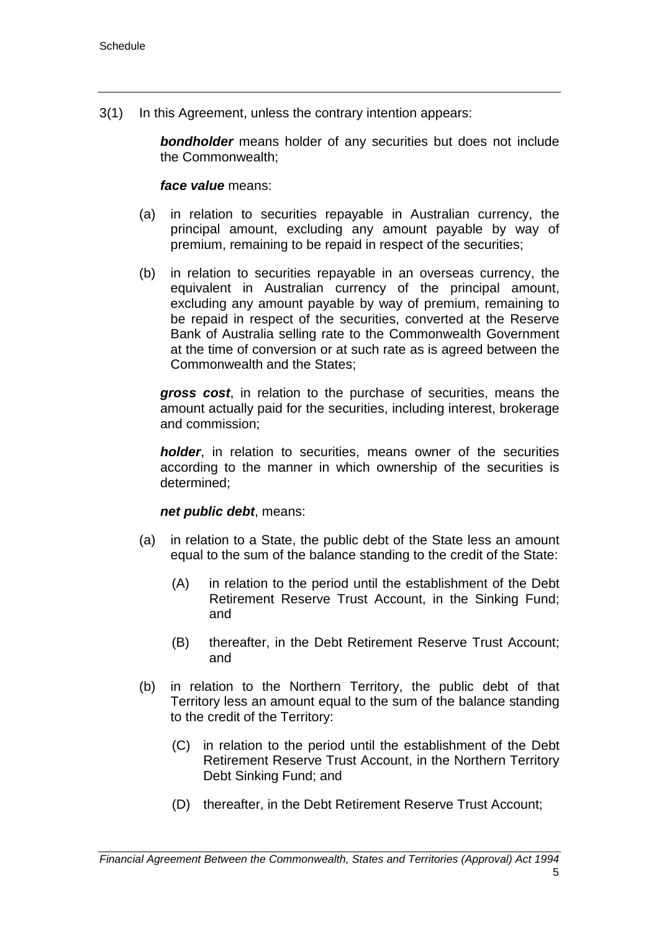3(1) In this Agreement, unless the contrary intention appears:

*bondholder* means holder of any securities but does not include the Commonwealth;

#### *face value* means:

- (a) in relation to securities repayable in Australian currency, the principal amount, excluding any amount payable by way of premium, remaining to be repaid in respect of the securities;
- (b) in relation to securities repayable in an overseas currency, the equivalent in Australian currency of the principal amount, excluding any amount payable by way of premium, remaining to be repaid in respect of the securities, converted at the Reserve Bank of Australia selling rate to the Commonwealth Government at the time of conversion or at such rate as is agreed between the Commonwealth and the States;

*gross cost*, in relation to the purchase of securities, means the amount actually paid for the securities, including interest, brokerage and commission;

*holder*, in relation to securities, means owner of the securities according to the manner in which ownership of the securities is determined;

#### *net public debt*, means:

- (a) in relation to a State, the public debt of the State less an amount equal to the sum of the balance standing to the credit of the State:
	- (A) in relation to the period until the establishment of the Debt Retirement Reserve Trust Account, in the Sinking Fund; and
	- (B) thereafter, in the Debt Retirement Reserve Trust Account; and
- (b) in relation to the Northern Territory, the public debt of that Territory less an amount equal to the sum of the balance standing to the credit of the Territory:
	- (C) in relation to the period until the establishment of the Debt Retirement Reserve Trust Account, in the Northern Territory Debt Sinking Fund; and
	- (D) thereafter, in the Debt Retirement Reserve Trust Account;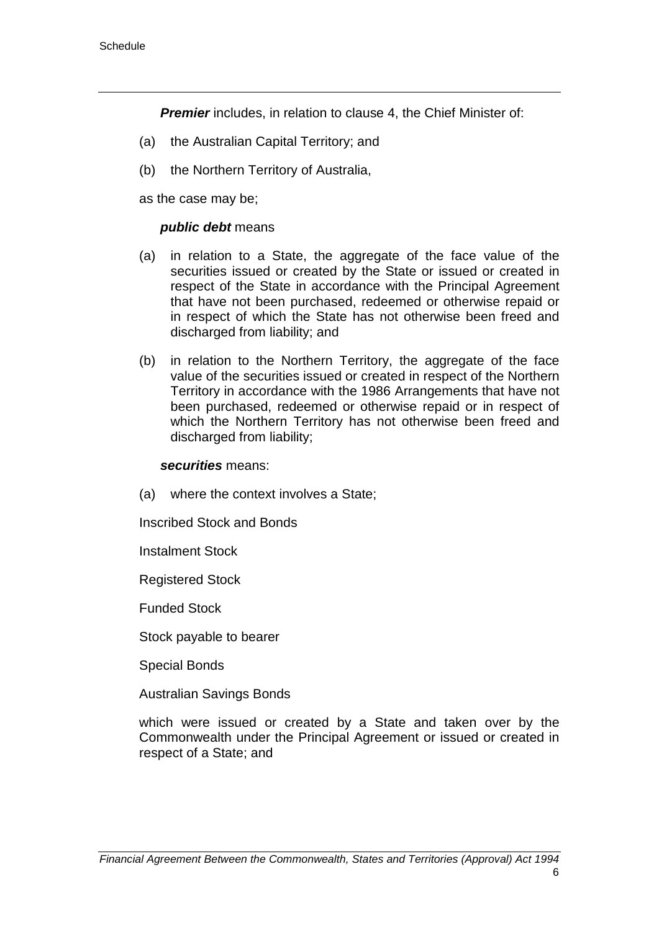**Premier** includes, in relation to clause 4, the Chief Minister of:

- (a) the Australian Capital Territory; and
- (b) the Northern Territory of Australia,

as the case may be;

#### *public debt* means

- (a) in relation to a State, the aggregate of the face value of the securities issued or created by the State or issued or created in respect of the State in accordance with the Principal Agreement that have not been purchased, redeemed or otherwise repaid or in respect of which the State has not otherwise been freed and discharged from liability; and
- (b) in relation to the Northern Territory, the aggregate of the face value of the securities issued or created in respect of the Northern Territory in accordance with the 1986 Arrangements that have not been purchased, redeemed or otherwise repaid or in respect of which the Northern Territory has not otherwise been freed and discharged from liability;

#### *securities* means:

(a) where the context involves a State;

Inscribed Stock and Bonds

Instalment Stock

Registered Stock

Funded Stock

Stock payable to bearer

Special Bonds

Australian Savings Bonds

which were issued or created by a State and taken over by the Commonwealth under the Principal Agreement or issued or created in respect of a State; and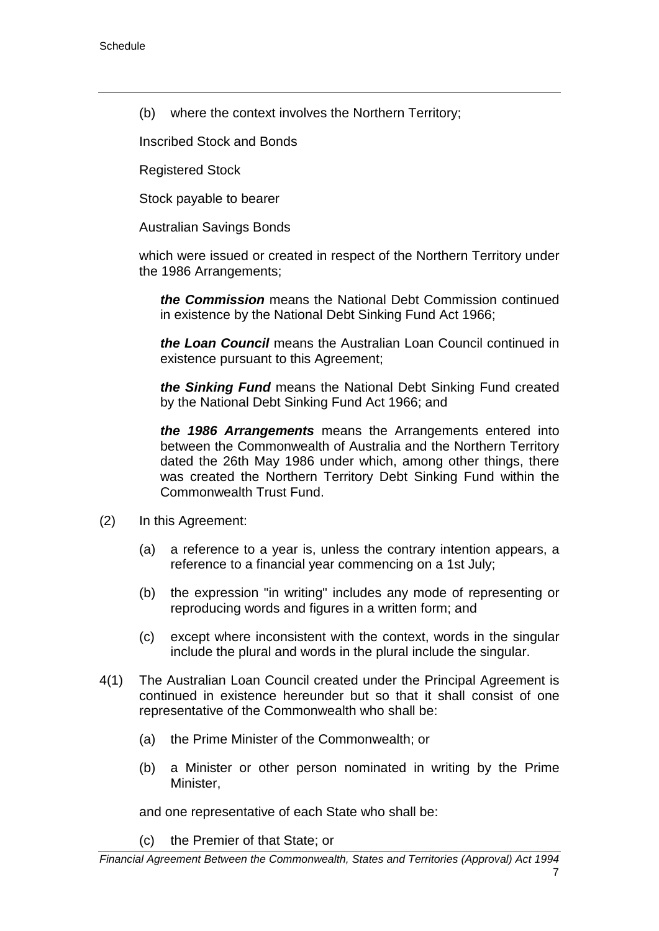(b) where the context involves the Northern Territory;

Inscribed Stock and Bonds

Registered Stock

Stock payable to bearer

Australian Savings Bonds

which were issued or created in respect of the Northern Territory under the 1986 Arrangements;

*the Commission* means the National Debt Commission continued in existence by the National Debt Sinking Fund Act 1966;

*the Loan Council* means the Australian Loan Council continued in existence pursuant to this Agreement;

*the Sinking Fund* means the National Debt Sinking Fund created by the National Debt Sinking Fund Act 1966; and

*the 1986 Arrangements* means the Arrangements entered into between the Commonwealth of Australia and the Northern Territory dated the 26th May 1986 under which, among other things, there was created the Northern Territory Debt Sinking Fund within the Commonwealth Trust Fund.

- (2) In this Agreement:
	- (a) a reference to a year is, unless the contrary intention appears, a reference to a financial year commencing on a 1st July;
	- (b) the expression "in writing" includes any mode of representing or reproducing words and figures in a written form; and
	- (c) except where inconsistent with the context, words in the singular include the plural and words in the plural include the singular.
- 4(1) The Australian Loan Council created under the Principal Agreement is continued in existence hereunder but so that it shall consist of one representative of the Commonwealth who shall be:
	- (a) the Prime Minister of the Commonwealth; or
	- (b) a Minister or other person nominated in writing by the Prime Minister,

and one representative of each State who shall be:

(c) the Premier of that State; or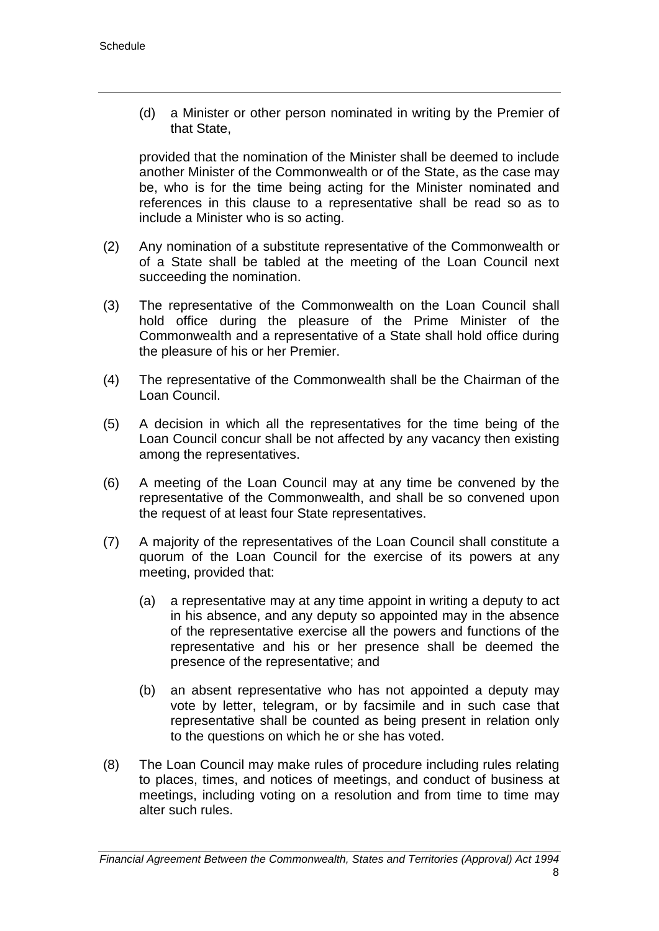(d) a Minister or other person nominated in writing by the Premier of that State,

provided that the nomination of the Minister shall be deemed to include another Minister of the Commonwealth or of the State, as the case may be, who is for the time being acting for the Minister nominated and references in this clause to a representative shall be read so as to include a Minister who is so acting.

- (2) Any nomination of a substitute representative of the Commonwealth or of a State shall be tabled at the meeting of the Loan Council next succeeding the nomination.
- (3) The representative of the Commonwealth on the Loan Council shall hold office during the pleasure of the Prime Minister of the Commonwealth and a representative of a State shall hold office during the pleasure of his or her Premier.
- (4) The representative of the Commonwealth shall be the Chairman of the Loan Council.
- (5) A decision in which all the representatives for the time being of the Loan Council concur shall be not affected by any vacancy then existing among the representatives.
- (6) A meeting of the Loan Council may at any time be convened by the representative of the Commonwealth, and shall be so convened upon the request of at least four State representatives.
- (7) A majority of the representatives of the Loan Council shall constitute a quorum of the Loan Council for the exercise of its powers at any meeting, provided that:
	- (a) a representative may at any time appoint in writing a deputy to act in his absence, and any deputy so appointed may in the absence of the representative exercise all the powers and functions of the representative and his or her presence shall be deemed the presence of the representative; and
	- (b) an absent representative who has not appointed a deputy may vote by letter, telegram, or by facsimile and in such case that representative shall be counted as being present in relation only to the questions on which he or she has voted.
- (8) The Loan Council may make rules of procedure including rules relating to places, times, and notices of meetings, and conduct of business at meetings, including voting on a resolution and from time to time may alter such rules.

*Financial Agreement Between the Commonwealth, States and Territories (Approval) Act 1994*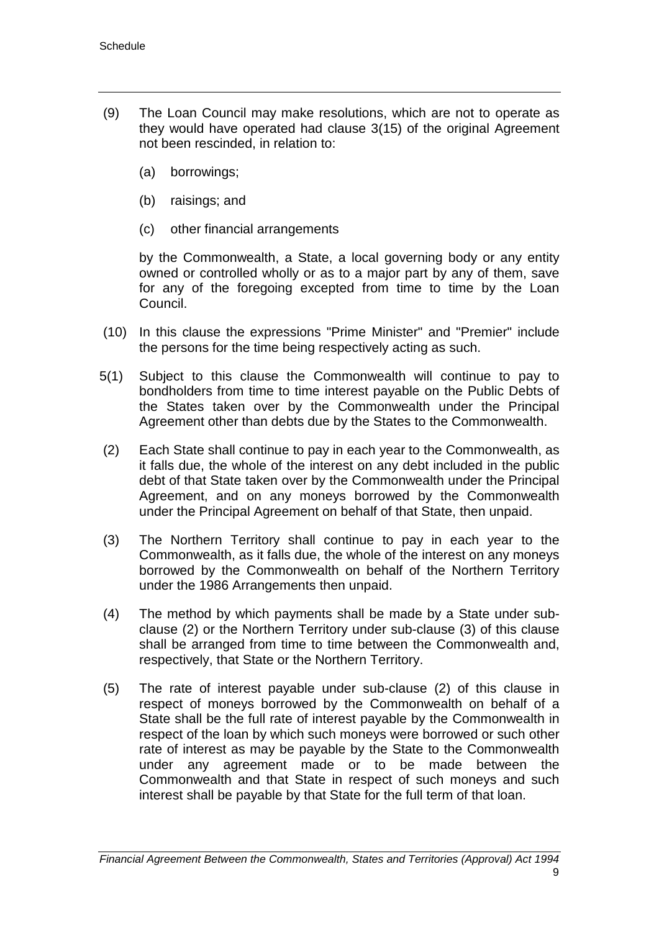- (9) The Loan Council may make resolutions, which are not to operate as they would have operated had clause 3(15) of the original Agreement not been rescinded, in relation to:
	- (a) borrowings;
	- (b) raisings; and
	- (c) other financial arrangements

by the Commonwealth, a State, a local governing body or any entity owned or controlled wholly or as to a major part by any of them, save for any of the foregoing excepted from time to time by the Loan Council.

- (10) In this clause the expressions "Prime Minister" and "Premier" include the persons for the time being respectively acting as such.
- 5(1) Subject to this clause the Commonwealth will continue to pay to bondholders from time to time interest payable on the Public Debts of the States taken over by the Commonwealth under the Principal Agreement other than debts due by the States to the Commonwealth.
- (2) Each State shall continue to pay in each year to the Commonwealth, as it falls due, the whole of the interest on any debt included in the public debt of that State taken over by the Commonwealth under the Principal Agreement, and on any moneys borrowed by the Commonwealth under the Principal Agreement on behalf of that State, then unpaid.
- (3) The Northern Territory shall continue to pay in each year to the Commonwealth, as it falls due, the whole of the interest on any moneys borrowed by the Commonwealth on behalf of the Northern Territory under the 1986 Arrangements then unpaid.
- (4) The method by which payments shall be made by a State under subclause (2) or the Northern Territory under sub-clause (3) of this clause shall be arranged from time to time between the Commonwealth and, respectively, that State or the Northern Territory.
- (5) The rate of interest payable under sub-clause (2) of this clause in respect of moneys borrowed by the Commonwealth on behalf of a State shall be the full rate of interest payable by the Commonwealth in respect of the loan by which such moneys were borrowed or such other rate of interest as may be payable by the State to the Commonwealth under any agreement made or to be made between the Commonwealth and that State in respect of such moneys and such interest shall be payable by that State for the full term of that loan.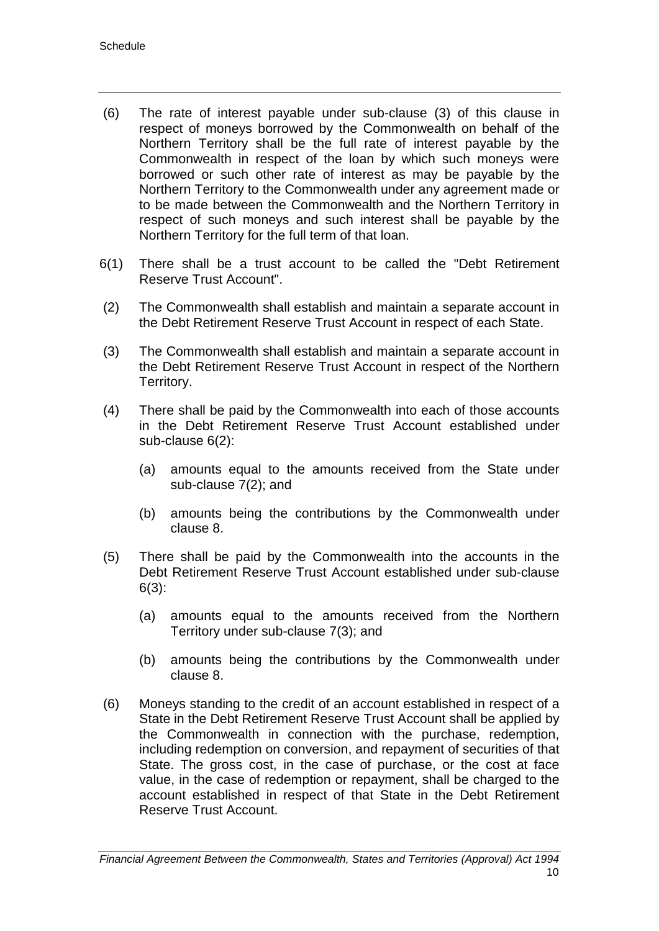- (6) The rate of interest payable under sub-clause (3) of this clause in respect of moneys borrowed by the Commonwealth on behalf of the Northern Territory shall be the full rate of interest payable by the Commonwealth in respect of the loan by which such moneys were borrowed or such other rate of interest as may be payable by the Northern Territory to the Commonwealth under any agreement made or to be made between the Commonwealth and the Northern Territory in respect of such moneys and such interest shall be payable by the Northern Territory for the full term of that loan.
- 6(1) There shall be a trust account to be called the "Debt Retirement Reserve Trust Account".
- (2) The Commonwealth shall establish and maintain a separate account in the Debt Retirement Reserve Trust Account in respect of each State.
- (3) The Commonwealth shall establish and maintain a separate account in the Debt Retirement Reserve Trust Account in respect of the Northern Territory.
- (4) There shall be paid by the Commonwealth into each of those accounts in the Debt Retirement Reserve Trust Account established under sub-clause 6(2):
	- (a) amounts equal to the amounts received from the State under sub-clause 7(2); and
	- (b) amounts being the contributions by the Commonwealth under clause 8.
- (5) There shall be paid by the Commonwealth into the accounts in the Debt Retirement Reserve Trust Account established under sub-clause 6(3):
	- (a) amounts equal to the amounts received from the Northern Territory under sub-clause 7(3); and
	- (b) amounts being the contributions by the Commonwealth under clause 8.
- (6) Moneys standing to the credit of an account established in respect of a State in the Debt Retirement Reserve Trust Account shall be applied by the Commonwealth in connection with the purchase, redemption, including redemption on conversion, and repayment of securities of that State. The gross cost, in the case of purchase, or the cost at face value, in the case of redemption or repayment, shall be charged to the account established in respect of that State in the Debt Retirement Reserve Trust Account.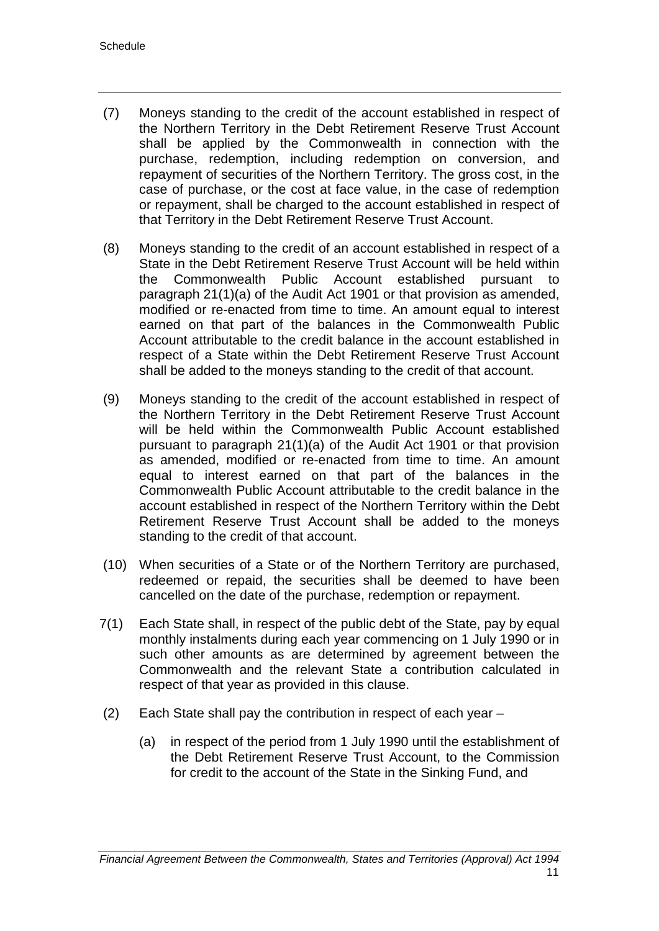- (7) Moneys standing to the credit of the account established in respect of the Northern Territory in the Debt Retirement Reserve Trust Account shall be applied by the Commonwealth in connection with the purchase, redemption, including redemption on conversion, and repayment of securities of the Northern Territory. The gross cost, in the case of purchase, or the cost at face value, in the case of redemption or repayment, shall be charged to the account established in respect of that Territory in the Debt Retirement Reserve Trust Account.
- (8) Moneys standing to the credit of an account established in respect of a State in the Debt Retirement Reserve Trust Account will be held within the Commonwealth Public Account established pursuant to paragraph 21(1)(a) of the Audit Act 1901 or that provision as amended, modified or re-enacted from time to time. An amount equal to interest earned on that part of the balances in the Commonwealth Public Account attributable to the credit balance in the account established in respect of a State within the Debt Retirement Reserve Trust Account shall be added to the moneys standing to the credit of that account.
- (9) Moneys standing to the credit of the account established in respect of the Northern Territory in the Debt Retirement Reserve Trust Account will be held within the Commonwealth Public Account established pursuant to paragraph 21(1)(a) of the Audit Act 1901 or that provision as amended, modified or re-enacted from time to time. An amount equal to interest earned on that part of the balances in the Commonwealth Public Account attributable to the credit balance in the account established in respect of the Northern Territory within the Debt Retirement Reserve Trust Account shall be added to the moneys standing to the credit of that account.
- (10) When securities of a State or of the Northern Territory are purchased, redeemed or repaid, the securities shall be deemed to have been cancelled on the date of the purchase, redemption or repayment.
- 7(1) Each State shall, in respect of the public debt of the State, pay by equal monthly instalments during each year commencing on 1 July 1990 or in such other amounts as are determined by agreement between the Commonwealth and the relevant State a contribution calculated in respect of that year as provided in this clause.
- (2) Each State shall pay the contribution in respect of each year
	- (a) in respect of the period from 1 July 1990 until the establishment of the Debt Retirement Reserve Trust Account, to the Commission for credit to the account of the State in the Sinking Fund, and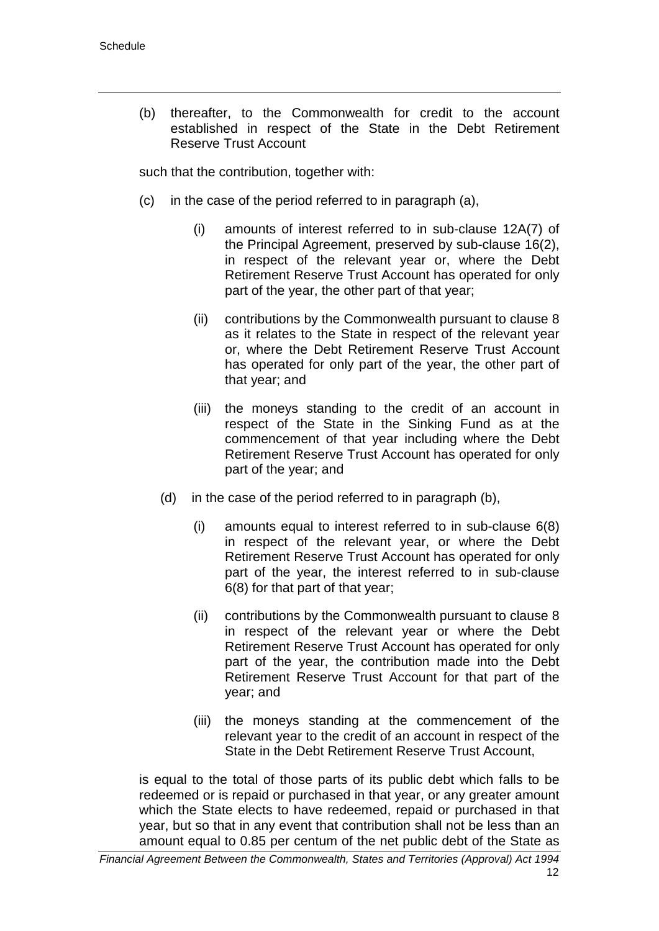(b) thereafter, to the Commonwealth for credit to the account established in respect of the State in the Debt Retirement Reserve Trust Account

such that the contribution, together with:

- (c) in the case of the period referred to in paragraph (a),
	- (i) amounts of interest referred to in sub-clause 12A(7) of the Principal Agreement, preserved by sub-clause 16(2), in respect of the relevant year or, where the Debt Retirement Reserve Trust Account has operated for only part of the year, the other part of that year;
	- (ii) contributions by the Commonwealth pursuant to clause 8 as it relates to the State in respect of the relevant year or, where the Debt Retirement Reserve Trust Account has operated for only part of the year, the other part of that year; and
	- (iii) the moneys standing to the credit of an account in respect of the State in the Sinking Fund as at the commencement of that year including where the Debt Retirement Reserve Trust Account has operated for only part of the year; and
	- (d) in the case of the period referred to in paragraph (b),
		- (i) amounts equal to interest referred to in sub-clause 6(8) in respect of the relevant year, or where the Debt Retirement Reserve Trust Account has operated for only part of the year, the interest referred to in sub-clause 6(8) for that part of that year;
		- (ii) contributions by the Commonwealth pursuant to clause 8 in respect of the relevant year or where the Debt Retirement Reserve Trust Account has operated for only part of the year, the contribution made into the Debt Retirement Reserve Trust Account for that part of the year; and
		- (iii) the moneys standing at the commencement of the relevant year to the credit of an account in respect of the State in the Debt Retirement Reserve Trust Account,

is equal to the total of those parts of its public debt which falls to be redeemed or is repaid or purchased in that year, or any greater amount which the State elects to have redeemed, repaid or purchased in that year, but so that in any event that contribution shall not be less than an amount equal to 0.85 per centum of the net public debt of the State as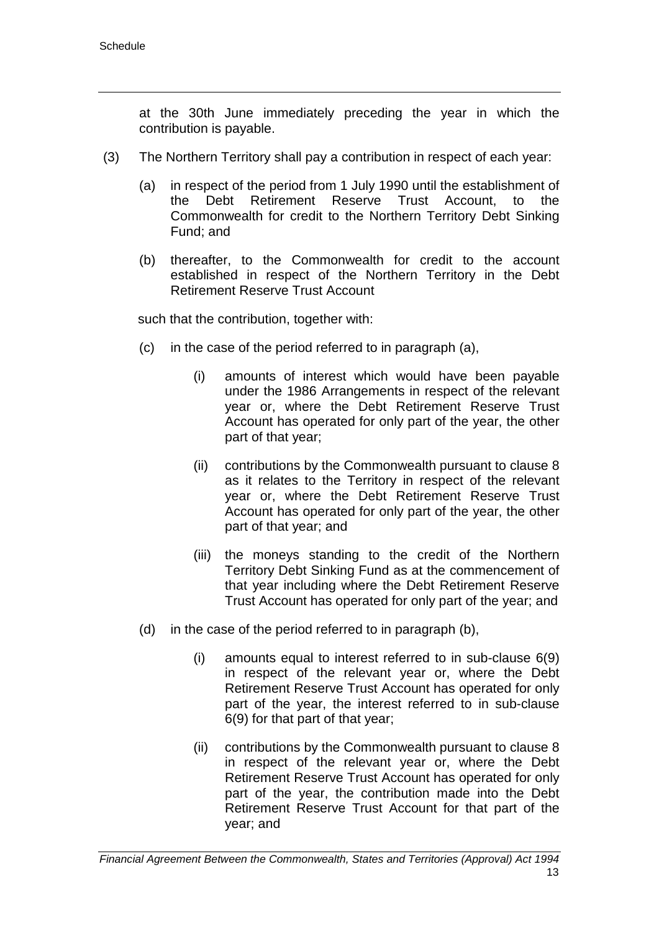at the 30th June immediately preceding the year in which the contribution is payable.

- (3) The Northern Territory shall pay a contribution in respect of each year:
	- (a) in respect of the period from 1 July 1990 until the establishment of the Debt Retirement Reserve Trust Account. to the the Debt Retirement Reserve Trust Account, to the Commonwealth for credit to the Northern Territory Debt Sinking Fund; and
	- (b) thereafter, to the Commonwealth for credit to the account established in respect of the Northern Territory in the Debt Retirement Reserve Trust Account

such that the contribution, together with:

- (c) in the case of the period referred to in paragraph (a),
	- (i) amounts of interest which would have been payable under the 1986 Arrangements in respect of the relevant year or, where the Debt Retirement Reserve Trust Account has operated for only part of the year, the other part of that year;
	- (ii) contributions by the Commonwealth pursuant to clause 8 as it relates to the Territory in respect of the relevant year or, where the Debt Retirement Reserve Trust Account has operated for only part of the year, the other part of that year; and
	- (iii) the moneys standing to the credit of the Northern Territory Debt Sinking Fund as at the commencement of that year including where the Debt Retirement Reserve Trust Account has operated for only part of the year; and
- (d) in the case of the period referred to in paragraph (b),
	- (i) amounts equal to interest referred to in sub-clause 6(9) in respect of the relevant year or, where the Debt Retirement Reserve Trust Account has operated for only part of the year, the interest referred to in sub-clause 6(9) for that part of that year;
	- (ii) contributions by the Commonwealth pursuant to clause 8 in respect of the relevant year or, where the Debt Retirement Reserve Trust Account has operated for only part of the year, the contribution made into the Debt Retirement Reserve Trust Account for that part of the year; and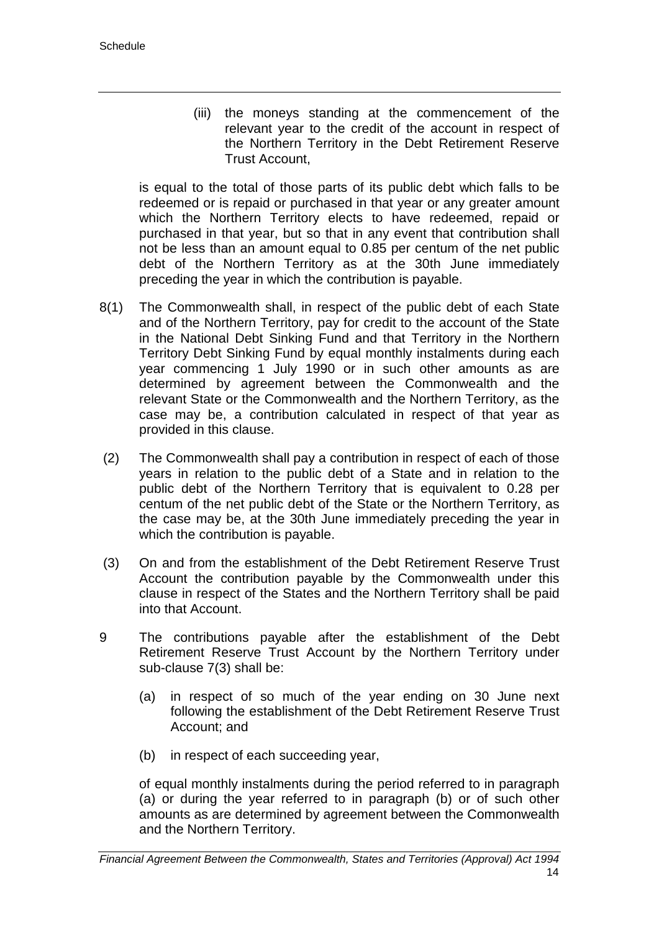(iii) the moneys standing at the commencement of the relevant year to the credit of the account in respect of the Northern Territory in the Debt Retirement Reserve Trust Account,

is equal to the total of those parts of its public debt which falls to be redeemed or is repaid or purchased in that year or any greater amount which the Northern Territory elects to have redeemed, repaid or purchased in that year, but so that in any event that contribution shall not be less than an amount equal to 0.85 per centum of the net public debt of the Northern Territory as at the 30th June immediately preceding the year in which the contribution is payable.

- 8(1) The Commonwealth shall, in respect of the public debt of each State and of the Northern Territory, pay for credit to the account of the State in the National Debt Sinking Fund and that Territory in the Northern Territory Debt Sinking Fund by equal monthly instalments during each year commencing 1 July 1990 or in such other amounts as are determined by agreement between the Commonwealth and the relevant State or the Commonwealth and the Northern Territory, as the case may be, a contribution calculated in respect of that year as provided in this clause.
- (2) The Commonwealth shall pay a contribution in respect of each of those years in relation to the public debt of a State and in relation to the public debt of the Northern Territory that is equivalent to 0.28 per centum of the net public debt of the State or the Northern Territory, as the case may be, at the 30th June immediately preceding the year in which the contribution is payable.
- (3) On and from the establishment of the Debt Retirement Reserve Trust Account the contribution payable by the Commonwealth under this clause in respect of the States and the Northern Territory shall be paid into that Account.
- 9 The contributions payable after the establishment of the Debt Retirement Reserve Trust Account by the Northern Territory under sub-clause 7(3) shall be:
	- (a) in respect of so much of the year ending on 30 June next following the establishment of the Debt Retirement Reserve Trust Account; and
	- (b) in respect of each succeeding year,

of equal monthly instalments during the period referred to in paragraph (a) or during the year referred to in paragraph (b) or of such other amounts as are determined by agreement between the Commonwealth and the Northern Territory.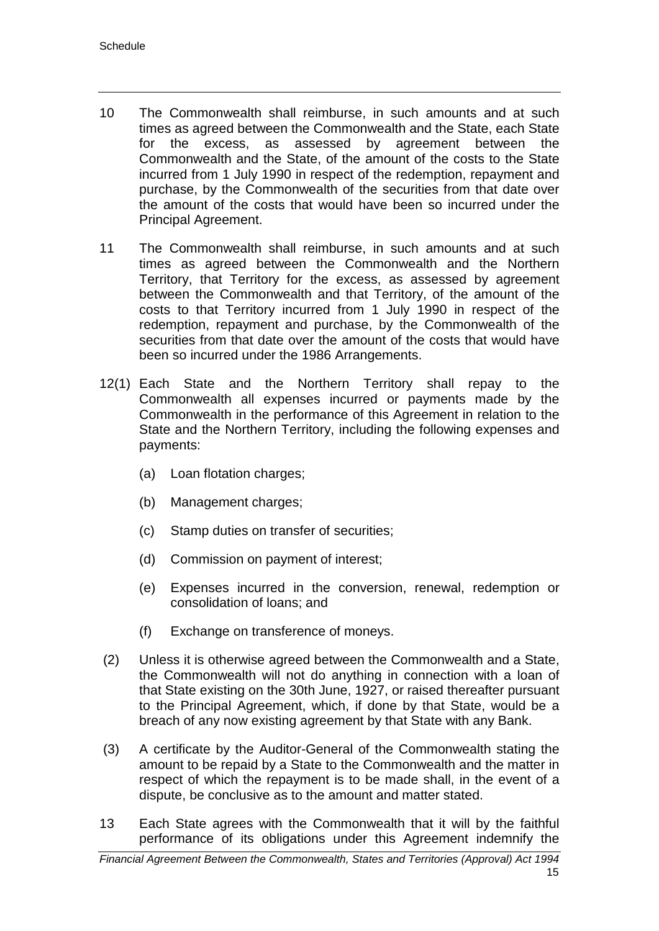- 10 The Commonwealth shall reimburse, in such amounts and at such times as agreed between the Commonwealth and the State, each State for the excess, as assessed by agreement between the Commonwealth and the State, of the amount of the costs to the State incurred from 1 July 1990 in respect of the redemption, repayment and purchase, by the Commonwealth of the securities from that date over the amount of the costs that would have been so incurred under the Principal Agreement.
- 11 The Commonwealth shall reimburse, in such amounts and at such times as agreed between the Commonwealth and the Northern Territory, that Territory for the excess, as assessed by agreement between the Commonwealth and that Territory, of the amount of the costs to that Territory incurred from 1 July 1990 in respect of the redemption, repayment and purchase, by the Commonwealth of the securities from that date over the amount of the costs that would have been so incurred under the 1986 Arrangements.
- 12(1) Each State and the Northern Territory shall repay to the Commonwealth all expenses incurred or payments made by the Commonwealth in the performance of this Agreement in relation to the State and the Northern Territory, including the following expenses and payments:
	- (a) Loan flotation charges;
	- (b) Management charges;
	- (c) Stamp duties on transfer of securities;
	- (d) Commission on payment of interest;
	- (e) Expenses incurred in the conversion, renewal, redemption or consolidation of loans; and
	- (f) Exchange on transference of moneys.
- (2) Unless it is otherwise agreed between the Commonwealth and a State, the Commonwealth will not do anything in connection with a loan of that State existing on the 30th June, 1927, or raised thereafter pursuant to the Principal Agreement, which, if done by that State, would be a breach of any now existing agreement by that State with any Bank.
- (3) A certificate by the Auditor-General of the Commonwealth stating the amount to be repaid by a State to the Commonwealth and the matter in respect of which the repayment is to be made shall, in the event of a dispute, be conclusive as to the amount and matter stated.
- 13 Each State agrees with the Commonwealth that it will by the faithful performance of its obligations under this Agreement indemnify the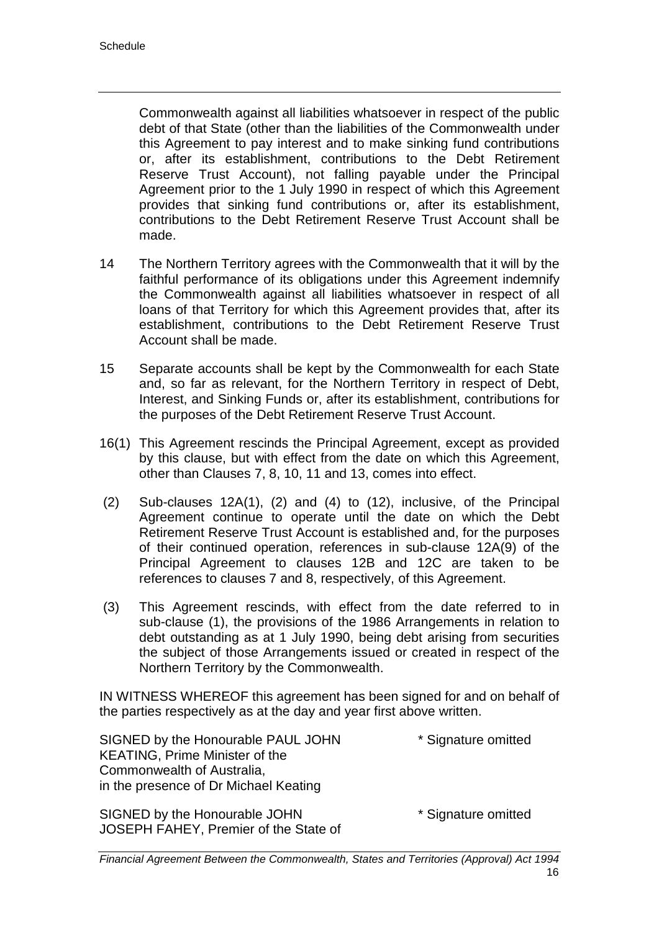Commonwealth against all liabilities whatsoever in respect of the public debt of that State (other than the liabilities of the Commonwealth under this Agreement to pay interest and to make sinking fund contributions or, after its establishment, contributions to the Debt Retirement Reserve Trust Account), not falling payable under the Principal Agreement prior to the 1 July 1990 in respect of which this Agreement provides that sinking fund contributions or, after its establishment, contributions to the Debt Retirement Reserve Trust Account shall be made.

- 14 The Northern Territory agrees with the Commonwealth that it will by the faithful performance of its obligations under this Agreement indemnify the Commonwealth against all liabilities whatsoever in respect of all loans of that Territory for which this Agreement provides that, after its establishment, contributions to the Debt Retirement Reserve Trust Account shall be made.
- 15 Separate accounts shall be kept by the Commonwealth for each State and, so far as relevant, for the Northern Territory in respect of Debt, Interest, and Sinking Funds or, after its establishment, contributions for the purposes of the Debt Retirement Reserve Trust Account.
- 16(1) This Agreement rescinds the Principal Agreement, except as provided by this clause, but with effect from the date on which this Agreement, other than Clauses 7, 8, 10, 11 and 13, comes into effect.
- (2) Sub-clauses 12A(1), (2) and (4) to (12), inclusive, of the Principal Agreement continue to operate until the date on which the Debt Retirement Reserve Trust Account is established and, for the purposes of their continued operation, references in sub-clause 12A(9) of the Principal Agreement to clauses 12B and 12C are taken to be references to clauses 7 and 8, respectively, of this Agreement.
- (3) This Agreement rescinds, with effect from the date referred to in sub-clause (1), the provisions of the 1986 Arrangements in relation to debt outstanding as at 1 July 1990, being debt arising from securities the subject of those Arrangements issued or created in respect of the Northern Territory by the Commonwealth.

IN WITNESS WHEREOF this agreement has been signed for and on behalf of the parties respectively as at the day and year first above written.

SIGNED by the Honourable PAUL JOHN \* Signature omitted KEATING, Prime Minister of the Commonwealth of Australia, in the presence of Dr Michael Keating

SIGNED by the Honourable JOHN \* Signature omitted JOSEPH FAHEY, Premier of the State of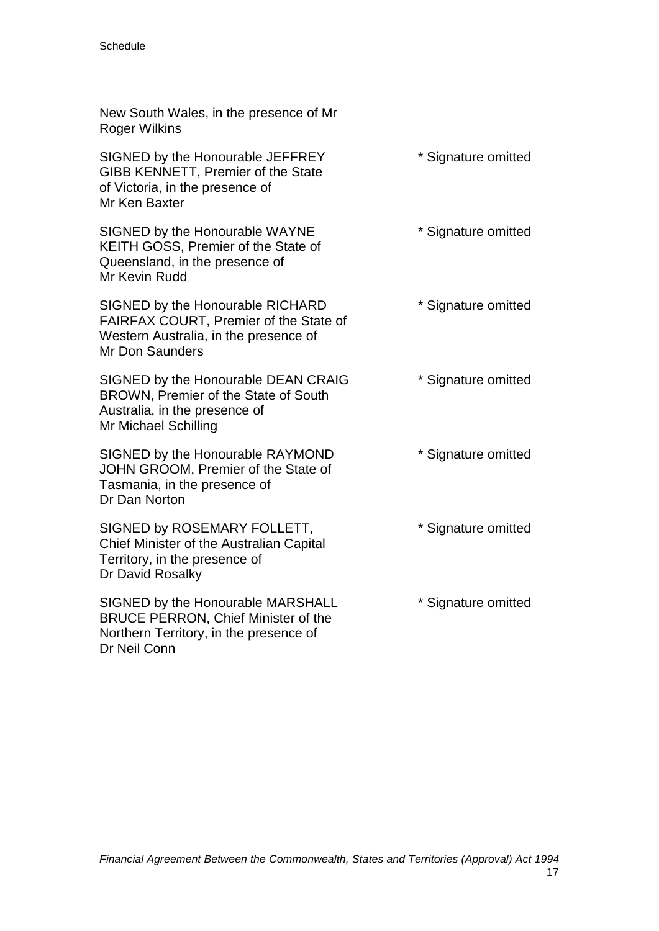| New South Wales, in the presence of Mr<br>Roger Wilkins                                                                                       |                     |
|-----------------------------------------------------------------------------------------------------------------------------------------------|---------------------|
| SIGNED by the Honourable JEFFREY<br>GIBB KENNETT, Premier of the State<br>of Victoria, in the presence of<br>Mr Ken Baxter                    | * Signature omitted |
| SIGNED by the Honourable WAYNE<br>KEITH GOSS, Premier of the State of<br>Queensland, in the presence of<br>Mr Kevin Rudd                      | * Signature omitted |
| SIGNED by the Honourable RICHARD<br>FAIRFAX COURT, Premier of the State of<br>Western Australia, in the presence of<br><b>Mr Don Saunders</b> | * Signature omitted |
| SIGNED by the Honourable DEAN CRAIG<br>BROWN, Premier of the State of South<br>Australia, in the presence of<br>Mr Michael Schilling          | * Signature omitted |
| SIGNED by the Honourable RAYMOND<br>JOHN GROOM, Premier of the State of<br>Tasmania, in the presence of<br>Dr Dan Norton                      | * Signature omitted |
| SIGNED by ROSEMARY FOLLETT,<br>Chief Minister of the Australian Capital<br>Territory, in the presence of<br>Dr David Rosalky                  | * Signature omitted |
| SIGNED by the Honourable MARSHALL<br><b>BRUCE PERRON, Chief Minister of the</b><br>Northern Territory, in the presence of<br>Dr Neil Conn     | * Signature omitted |